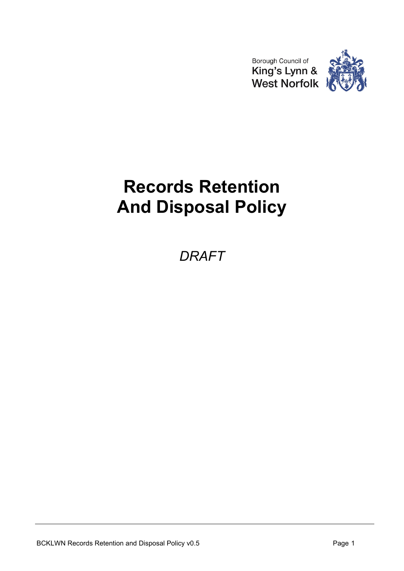



# **Records Retention And Disposal Policy**

*DRAFT*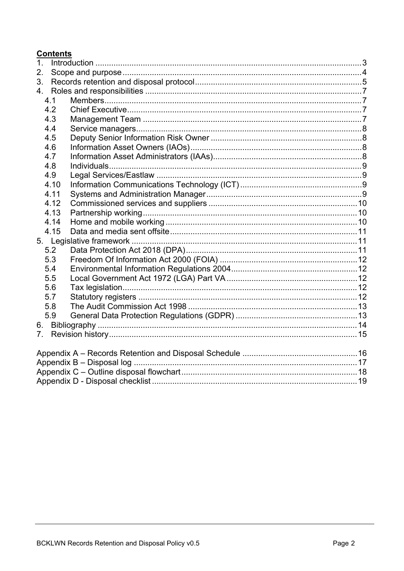# **Contents**

| 1.             |      |  |  |  |  |
|----------------|------|--|--|--|--|
| 2.             |      |  |  |  |  |
| 3.             |      |  |  |  |  |
| 4.             |      |  |  |  |  |
|                | 4.1  |  |  |  |  |
|                | 4.2  |  |  |  |  |
|                | 4.3  |  |  |  |  |
|                | 4.4  |  |  |  |  |
|                | 4.5  |  |  |  |  |
|                | 4.6  |  |  |  |  |
|                | 4.7  |  |  |  |  |
|                | 4.8  |  |  |  |  |
|                | 4.9  |  |  |  |  |
|                | 4.10 |  |  |  |  |
|                | 4.11 |  |  |  |  |
|                | 4.12 |  |  |  |  |
|                | 4.13 |  |  |  |  |
|                | 4.14 |  |  |  |  |
|                | 4.15 |  |  |  |  |
|                |      |  |  |  |  |
|                | 5.2  |  |  |  |  |
|                | 5.3  |  |  |  |  |
|                | 5.4  |  |  |  |  |
|                | 5.5  |  |  |  |  |
|                | 5.6  |  |  |  |  |
|                | 5.7  |  |  |  |  |
|                | 5.8  |  |  |  |  |
|                | 5.9  |  |  |  |  |
| 6.             |      |  |  |  |  |
| 7 <sub>1</sub> |      |  |  |  |  |
|                |      |  |  |  |  |
|                |      |  |  |  |  |
|                |      |  |  |  |  |
|                |      |  |  |  |  |
|                |      |  |  |  |  |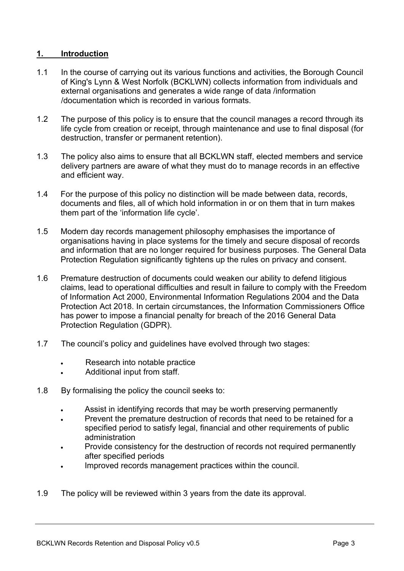## <span id="page-2-0"></span>**1. Introduction**

- 1.1 In the course of carrying out its various functions and activities, the Borough Council of King's Lynn & West Norfolk (BCKLWN) collects information from individuals and external organisations and generates a wide range of data /information /documentation which is recorded in various formats.
- 1.2 The purpose of this policy is to ensure that the council manages a record through its life cycle from creation or receipt, through maintenance and use to final disposal (for destruction, transfer or permanent retention).
- 1.3 The policy also aims to ensure that all BCKLWN staff, elected members and service delivery partners are aware of what they must do to manage records in an effective and efficient way.
- 1.4 For the purpose of this policy no distinction will be made between data, records, documents and files, all of which hold information in or on them that in turn makes them part of the 'information life cycle'.
- 1.5 Modern day records management philosophy emphasises the importance of organisations having in place systems for the timely and secure disposal of records and information that are no longer required for business purposes. The General Data Protection Regulation significantly tightens up the rules on privacy and consent.
- 1.6 Premature destruction of documents could weaken our ability to defend litigious claims, lead to operational difficulties and result in failure to comply with the Freedom of Information Act 2000, Environmental Information Regulations 2004 and the Data Protection Act 2018. In certain circumstances, the Information Commissioners Office has power to impose a financial penalty for breach of the 2016 General Data Protection Regulation (GDPR).
- 1.7 The council's policy and guidelines have evolved through two stages:
	- Research into notable practice
	- Additional input from staff.
- 1.8 By formalising the policy the council seeks to:
	- Assist in identifying records that may be worth preserving permanently
	- Prevent the premature destruction of records that need to be retained for a specified period to satisfy legal, financial and other requirements of public administration
	- Provide consistency for the destruction of records not required permanently after specified periods
	- Improved records management practices within the council.
- 1.9 The policy will be reviewed within 3 years from the date its approval.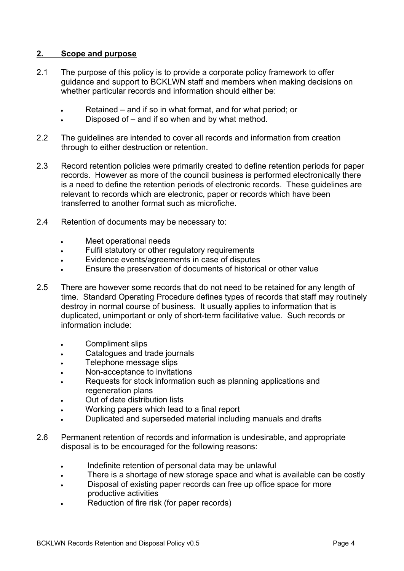## <span id="page-3-0"></span>**2. Scope and purpose**

- 2.1 The purpose of this policy is to provide a corporate policy framework to offer guidance and support to BCKLWN staff and members when making decisions on whether particular records and information should either be:
	- Retained and if so in what format, and for what period; or
	- Disposed of and if so when and by what method.
- 2.2 The guidelines are intended to cover all records and information from creation through to either destruction or retention.
- 2.3 Record retention policies were primarily created to define retention periods for paper records. However as more of the council business is performed electronically there is a need to define the retention periods of electronic records. These guidelines are relevant to records which are electronic, paper or records which have been transferred to another format such as microfiche.
- 2.4 Retention of documents may be necessary to:
	- Meet operational needs
	- Fulfil statutory or other regulatory requirements
	- Evidence events/agreements in case of disputes
	- Ensure the preservation of documents of historical or other value
- 2.5 There are however some records that do not need to be retained for any length of time. Standard Operating Procedure defines types of records that staff may routinely destroy in normal course of business. It usually applies to information that is duplicated, unimportant or only of short-term facilitative value. Such records or information include:
	- Compliment slips
	- Catalogues and trade journals
	- **Telephone message slips**
	- Non-acceptance to invitations
	- Requests for stock information such as planning applications and regeneration plans
	- Out of date distribution lists
	- Working papers which lead to a final report
	- Duplicated and superseded material including manuals and drafts
- 2.6 Permanent retention of records and information is undesirable, and appropriate disposal is to be encouraged for the following reasons:
	- . Indefinite retention of personal data may be unlawful
	- There is a shortage of new storage space and what is available can be costly
	- Disposal of existing paper records can free up office space for more productive activities
	- Reduction of fire risk (for paper records)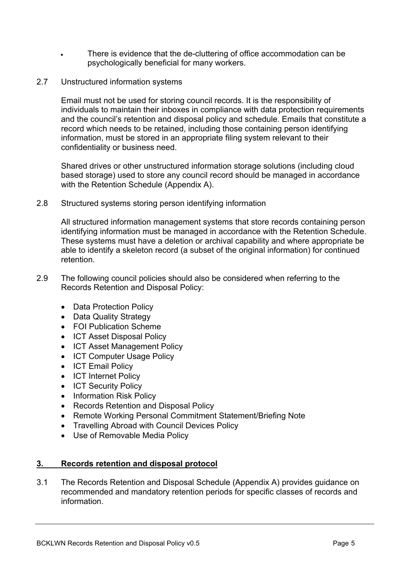- There is evidence that the de-cluttering of office accommodation can be psychologically beneficial for many workers.
- 2.7 Unstructured information systems

Email must not be used for storing council records. It is the responsibility of individuals to maintain their inboxes in compliance with data protection requirements and the council's retention and disposal policy and schedule. Emails that constitute a record which needs to be retained, including those containing person identifying information, must be stored in an appropriate filing system relevant to their confidentiality or business need.

Shared drives or other unstructured information storage solutions (including cloud based storage) used to store any council record should be managed in accordance with the Retention Schedule (Appendix A).

2.8 Structured systems storing person identifying information

All structured information management systems that store records containing person identifying information must be managed in accordance with the Retention Schedule. These systems must have a deletion or archival capability and where appropriate be able to identify a skeleton record (a subset of the original information) for continued retention.

- 2.9 The following council policies should also be considered when referring to the Records Retention and Disposal Policy:
	- Data Protection Policy
	- Data Quality Strategy
	- FOI Publication Scheme
	- ICT Asset Disposal Policy
	- ICT Asset Management Policy
	- ICT Computer Usage Policy
	- ICT Email Policy
	- ICT Internet Policy
	- ICT Security Policy
	- Information Risk Policy
	- Records Retention and Disposal Policy
	- Remote Working Personal Commitment Statement/Briefing Note
	- Travelling Abroad with Council Devices Policy
	- Use of Removable Media Policy

## <span id="page-4-0"></span>**3. Records retention and disposal protocol**

3.1 The Records Retention and Disposal Schedule (Appendix A) provides guidance on recommended and mandatory retention periods for specific classes of records and information.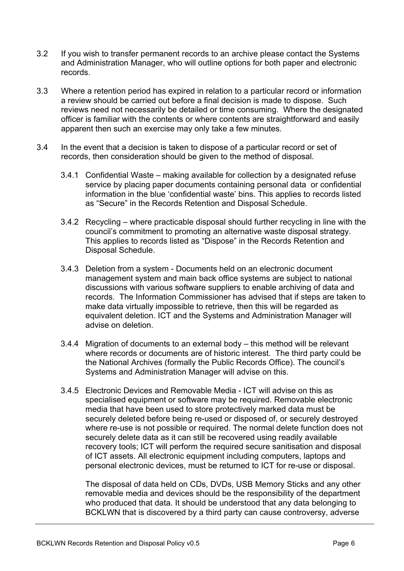- 3.2 If you wish to transfer permanent records to an archive please contact the Systems and Administration Manager, who will outline options for both paper and electronic records.
- 3.3 Where a retention period has expired in relation to a particular record or information a review should be carried out before a final decision is made to dispose. Such reviews need not necessarily be detailed or time consuming. Where the designated officer is familiar with the contents or where contents are straightforward and easily apparent then such an exercise may only take a few minutes.
- 3.4 In the event that a decision is taken to dispose of a particular record or set of records, then consideration should be given to the method of disposal.
	- 3.4.1 Confidential Waste making available for collection by a designated refuse service by placing paper documents containing personal data or confidential information in the blue 'confidential waste' bins. This applies to records listed as "Secure" in the Records Retention and Disposal Schedule.
	- 3.4.2 Recycling where practicable disposal should further recycling in line with the council's commitment to promoting an alternative waste disposal strategy. This applies to records listed as "Dispose" in the Records Retention and Disposal Schedule.
	- 3.4.3 Deletion from a system Documents held on an electronic document management system and main back office systems are subject to national discussions with various software suppliers to enable archiving of data and records. The Information Commissioner has advised that if steps are taken to make data virtually impossible to retrieve, then this will be regarded as equivalent deletion. ICT and the Systems and Administration Manager will advise on deletion.
	- 3.4.4 Migration of documents to an external body this method will be relevant where records or documents are of historic interest. The third party could be the National Archives (formally the Public Records Office). The council's Systems and Administration Manager will advise on this.
	- 3.4.5 Electronic Devices and Removable Media ICT will advise on this as specialised equipment or software may be required. Removable electronic media that have been used to store protectively marked data must be securely deleted before being re-used or disposed of, or securely destroyed where re-use is not possible or required. The normal delete function does not securely delete data as it can still be recovered using readily available recovery tools; ICT will perform the required secure sanitisation and disposal of ICT assets. All electronic equipment including computers, laptops and personal electronic devices, must be returned to ICT for re-use or disposal.

The disposal of data held on CDs, DVDs, USB Memory Sticks and any other removable media and devices should be the responsibility of the department who produced that data. It should be understood that any data belonging to BCKLWN that is discovered by a third party can cause controversy, adverse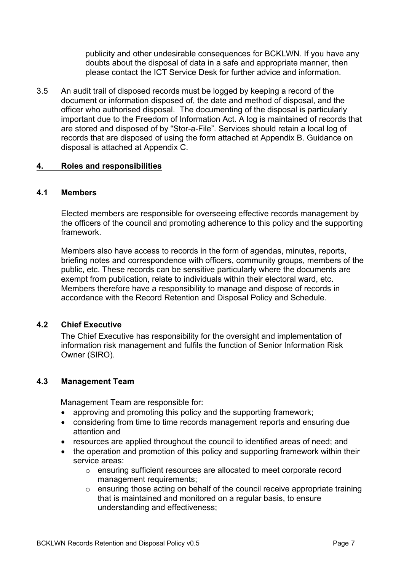publicity and other undesirable consequences for BCKLWN. If you have any doubts about the disposal of data in a safe and appropriate manner, then please contact the ICT Service Desk for further advice and information.

3.5 An audit trail of disposed records must be logged by keeping a record of the document or information disposed of, the date and method of disposal, and the officer who authorised disposal. The documenting of the disposal is particularly important due to the Freedom of Information Act. A log is maintained of records that are stored and disposed of by "Stor-a-File". Services should retain a local log of records that are disposed of using the form attached at Appendix B. Guidance on disposal is attached at Appendix C.

## <span id="page-6-0"></span>**4. Roles and responsibilities**

## <span id="page-6-1"></span>**4.1 Members**

Elected members are responsible for overseeing effective records management by the officers of the council and promoting adherence to this policy and the supporting framework.

Members also have access to records in the form of agendas, minutes, reports, briefing notes and correspondence with officers, community groups, members of the public, etc. These records can be sensitive particularly where the documents are exempt from publication, relate to individuals within their electoral ward, etc. Members therefore have a responsibility to manage and dispose of records in accordance with the Record Retention and Disposal Policy and Schedule.

## <span id="page-6-2"></span>**4.2 Chief Executive**

The Chief Executive has responsibility for the oversight and implementation of information risk management and fulfils the function of Senior Information Risk Owner (SIRO).

## <span id="page-6-3"></span>**4.3 Management Team**

Management Team are responsible for:

- approving and promoting this policy and the supporting framework;
- considering from time to time records management reports and ensuring due attention and
- resources are applied throughout the council to identified areas of need; and
- the operation and promotion of this policy and supporting framework within their service areas:
	- o ensuring sufficient resources are allocated to meet corporate record management requirements;
	- $\circ$  ensuring those acting on behalf of the council receive appropriate training that is maintained and monitored on a regular basis, to ensure understanding and effectiveness;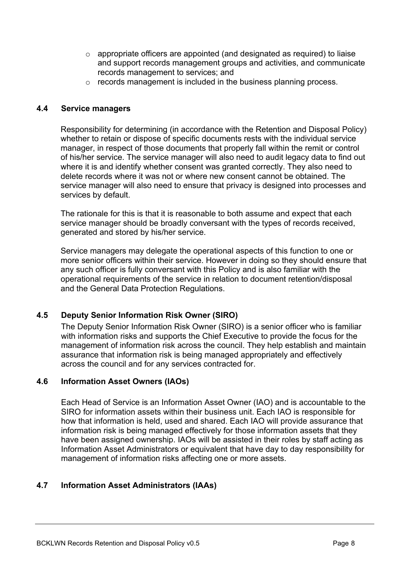- o appropriate officers are appointed (and designated as required) to liaise and support records management groups and activities, and communicate records management to services; and
- o records management is included in the business planning process.

#### <span id="page-7-0"></span>**4.4 Service managers**

Responsibility for determining (in accordance with the Retention and Disposal Policy) whether to retain or dispose of specific documents rests with the individual service manager, in respect of those documents that properly fall within the remit or control of his/her service. The service manager will also need to audit legacy data to find out where it is and identify whether consent was granted correctly. They also need to delete records where it was not or where new consent cannot be obtained. The service manager will also need to ensure that privacy is designed into processes and services by default.

The rationale for this is that it is reasonable to both assume and expect that each service manager should be broadly conversant with the types of records received, generated and stored by his/her service.

Service managers may delegate the operational aspects of this function to one or more senior officers within their service. However in doing so they should ensure that any such officer is fully conversant with this Policy and is also familiar with the operational requirements of the service in relation to document retention/disposal and the General Data Protection Regulations.

## <span id="page-7-1"></span>**4.5 Deputy Senior Information Risk Owner (SIRO)**

The Deputy Senior Information Risk Owner (SIRO) is a senior officer who is familiar with information risks and supports the Chief Executive to provide the focus for the management of information risk across the council. They help establish and maintain assurance that information risk is being managed appropriately and effectively across the council and for any services contracted for.

#### <span id="page-7-2"></span>**4.6 Information Asset Owners (IAOs)**

Each Head of Service is an Information Asset Owner (IAO) and is accountable to the SIRO for information assets within their business unit. Each IAO is responsible for how that information is held, used and shared. Each IAO will provide assurance that information risk is being managed effectively for those information assets that they have been assigned ownership. IAOs will be assisted in their roles by staff acting as Information Asset Administrators or equivalent that have day to day responsibility for management of information risks affecting one or more assets.

## <span id="page-7-3"></span>**4.7 Information Asset Administrators (IAAs)**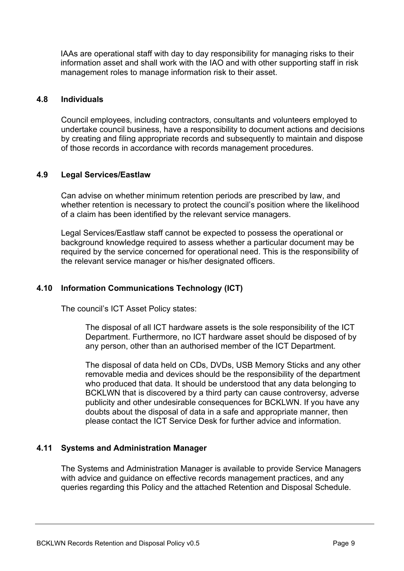IAAs are operational staff with day to day responsibility for managing risks to their information asset and shall work with the IAO and with other supporting staff in risk management roles to manage information risk to their asset.

#### <span id="page-8-0"></span>**4.8 Individuals**

Council employees, including contractors, consultants and volunteers employed to undertake council business, have a responsibility to document actions and decisions by creating and filing appropriate records and subsequently to maintain and dispose of those records in accordance with records management procedures.

#### <span id="page-8-1"></span>**4.9 Legal Services/Eastlaw**

Can advise on whether minimum retention periods are prescribed by law, and whether retention is necessary to protect the council's position where the likelihood of a claim has been identified by the relevant service managers.

Legal Services/Eastlaw staff cannot be expected to possess the operational or background knowledge required to assess whether a particular document may be required by the service concerned for operational need. This is the responsibility of the relevant service manager or his/her designated officers.

## <span id="page-8-2"></span>**4.10 Information Communications Technology (ICT)**

The council's ICT Asset Policy states:

The disposal of all ICT hardware assets is the sole responsibility of the ICT Department. Furthermore, no ICT hardware asset should be disposed of by any person, other than an authorised member of the ICT Department.

The disposal of data held on CDs, DVDs, USB Memory Sticks and any other removable media and devices should be the responsibility of the department who produced that data. It should be understood that any data belonging to BCKLWN that is discovered by a third party can cause controversy, adverse publicity and other undesirable consequences for BCKLWN. If you have any doubts about the disposal of data in a safe and appropriate manner, then please contact the ICT Service Desk for further advice and information.

## <span id="page-8-3"></span>**4.11 Systems and Administration Manager**

The Systems and Administration Manager is available to provide Service Managers with advice and guidance on effective records management practices, and any queries regarding this Policy and the attached Retention and Disposal Schedule.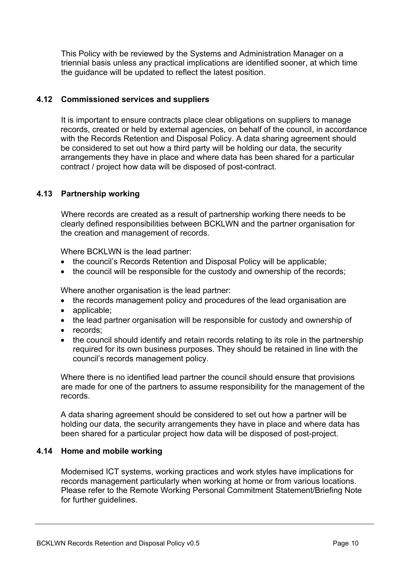This Policy with be reviewed by the Systems and Administration Manager on a triennial basis unless any practical implications are identified sooner, at which time the guidance will be updated to reflect the latest position.

## <span id="page-9-0"></span>**4.12 Commissioned services and suppliers**

It is important to ensure contracts place clear obligations on suppliers to manage records, created or held by external agencies, on behalf of the council, in accordance with the Records Retention and Disposal Policy. A data sharing agreement should be considered to set out how a third party will be holding our data, the security arrangements they have in place and where data has been shared for a particular contract / project how data will be disposed of post-contract.

## <span id="page-9-1"></span>**4.13 Partnership working**

Where records are created as a result of partnership working there needs to be clearly defined responsibilities between BCKLWN and the partner organisation for the creation and management of records.

Where BCKLWN is the lead partner:

- the council's Records Retention and Disposal Policy will be applicable;
- the council will be responsible for the custody and ownership of the records;

Where another organisation is the lead partner:

- the records management policy and procedures of the lead organisation are
- applicable:
- the lead partner organisation will be responsible for custody and ownership of
- records;
- the council should identify and retain records relating to its role in the partnership required for its own business purposes. They should be retained in line with the council's records management policy.

Where there is no identified lead partner the council should ensure that provisions are made for one of the partners to assume responsibility for the management of the records.

A data sharing agreement should be considered to set out how a partner will be holding our data, the security arrangements they have in place and where data has been shared for a particular project how data will be disposed of post-project.

## <span id="page-9-2"></span>**4.14 Home and mobile working**

Modernised ICT systems, working practices and work styles have implications for records management particularly when working at home or from various locations. Please refer to the Remote Working Personal Commitment Statement/Briefing Note for further guidelines.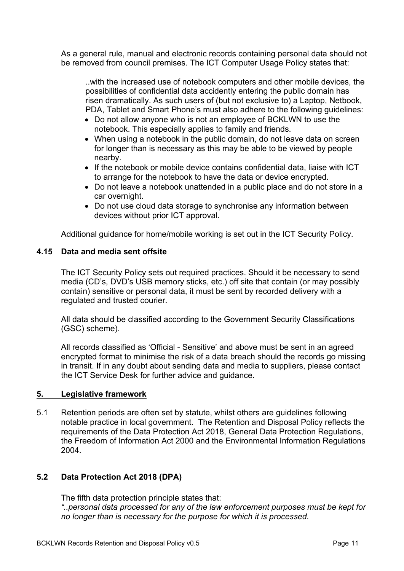As a general rule, manual and electronic records containing personal data should not be removed from council premises. The ICT Computer Usage Policy states that:

..with the increased use of notebook computers and other mobile devices, the possibilities of confidential data accidently entering the public domain has risen dramatically. As such users of (but not exclusive to) a Laptop, Netbook, PDA, Tablet and Smart Phone's must also adhere to the following guidelines:

- Do not allow anyone who is not an employee of BCKLWN to use the notebook. This especially applies to family and friends.
- When using a notebook in the public domain, do not leave data on screen for longer than is necessary as this may be able to be viewed by people nearby.
- If the notebook or mobile device contains confidential data, liaise with ICT to arrange for the notebook to have the data or device encrypted.
- Do not leave a notebook unattended in a public place and do not store in a car overnight.
- Do not use cloud data storage to synchronise any information between devices without prior ICT approval.

Additional guidance for home/mobile working is set out in the ICT Security Policy.

## <span id="page-10-0"></span>**4.15 Data and media sent offsite**

The ICT Security Policy sets out required practices. Should it be necessary to send media (CD's, DVD's USB memory sticks, etc.) off site that contain (or may possibly contain) sensitive or personal data, it must be sent by recorded delivery with a regulated and trusted courier.

All data should be classified according to the Government Security Classifications (GSC) scheme).

All records classified as 'Official - Sensitive' and above must be sent in an agreed encrypted format to minimise the risk of a data breach should the records go missing in transit. If in any doubt about sending data and media to suppliers, please contact the ICT Service Desk for further advice and guidance.

## <span id="page-10-1"></span>**5. Legislative framework**

5.1 Retention periods are often set by statute, whilst others are guidelines following notable practice in local government. The Retention and Disposal Policy reflects the requirements of the Data Protection Act 2018, General Data Protection Regulations, the Freedom of Information Act 2000 and the Environmental Information Regulations 2004.

## <span id="page-10-2"></span>**5.2 Data Protection Act 2018 (DPA)**

The fifth data protection principle states that:

*"..personal data processed for any of the law enforcement purposes must be kept for no longer than is necessary for the purpose for which it is processed.*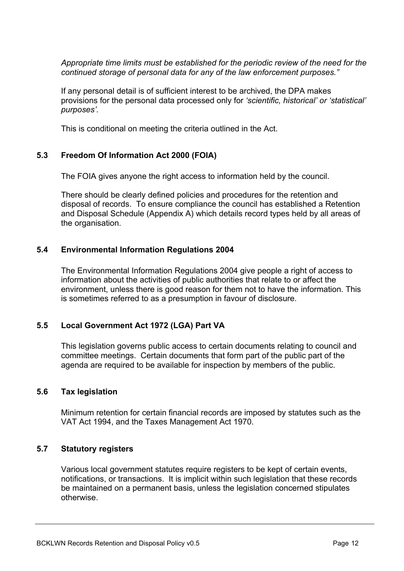*Appropriate time limits must be established for the periodic review of the need for the continued storage of personal data for any of the law enforcement purposes."*

If any personal detail is of sufficient interest to be archived, the DPA makes provisions for the personal data processed only for *'scientific, historical' or 'statistical' purposes'.*

This is conditional on meeting the criteria outlined in the Act.

## <span id="page-11-0"></span>**5.3 Freedom Of Information Act 2000 (FOIA)**

The FOIA gives anyone the right access to information held by the council.

There should be clearly defined policies and procedures for the retention and disposal of records. To ensure compliance the council has established a Retention and Disposal Schedule (Appendix A) which details record types held by all areas of the organisation.

## <span id="page-11-1"></span>**5.4 Environmental Information Regulations 2004**

The Environmental Information Regulations 2004 give people a right of access to information about the activities of public authorities that relate to or affect the environment, unless there is good reason for them not to have the information. This is sometimes referred to as a presumption in favour of disclosure.

## <span id="page-11-2"></span>**5.5 Local Government Act 1972 (LGA) Part VA**

This legislation governs public access to certain documents relating to council and committee meetings. Certain documents that form part of the public part of the agenda are required to be available for inspection by members of the public.

## <span id="page-11-3"></span>**5.6 Tax legislation**

Minimum retention for certain financial records are imposed by statutes such as the VAT Act 1994, and the Taxes Management Act 1970.

## <span id="page-11-4"></span>**5.7 Statutory registers**

Various local government statutes require registers to be kept of certain events, notifications, or transactions. It is implicit within such legislation that these records be maintained on a permanent basis, unless the legislation concerned stipulates otherwise.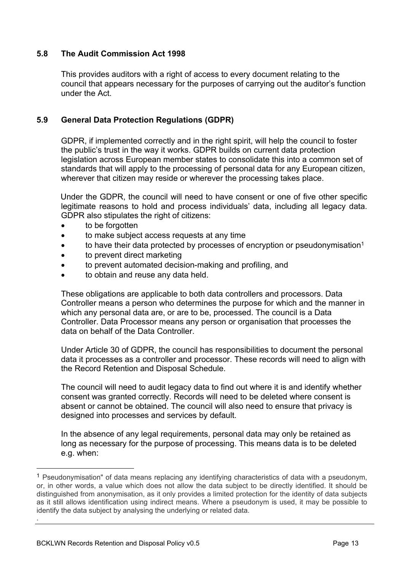## <span id="page-12-0"></span>**5.8 The Audit Commission Act 1998**

This provides auditors with a right of access to every document relating to the council that appears necessary for the purposes of carrying out the auditor's function under the Act.

## <span id="page-12-1"></span>**5.9 General Data Protection Regulations (GDPR)**

GDPR, if implemented correctly and in the right spirit, will help the council to foster the public's trust in the way it works. GDPR builds on current data protection legislation across European member states to consolidate this into a common set of standards that will apply to the processing of personal data for any European citizen, wherever that citizen may reside or wherever the processing takes place.

Under the GDPR, the council will need to have consent or one of five other specific legitimate reasons to hold and process individuals' data, including all legacy data. GDPR also stipulates the right of citizens:

- to be forgotten
- to make subject access requests at any time
- to have their data protected by processes of encryption or pseudonymisation<sup>1</sup>
- to prevent direct marketing
- to prevent automated decision-making and profiling, and
- to obtain and reuse any data held.

These obligations are applicable to both data controllers and processors. Data Controller means a person who determines the purpose for which and the manner in which any personal data are, or are to be, processed. The council is a Data Controller. Data Processor means any person or organisation that processes the data on behalf of the Data Controller.

Under Article 30 of GDPR, the council has responsibilities to document the personal data it processes as a controller and processor. These records will need to align with the Record Retention and Disposal Schedule.

The council will need to audit legacy data to find out where it is and identify whether consent was granted correctly. Records will need to be deleted where consent is absent or cannot be obtained. The council will also need to ensure that privacy is designed into processes and services by default.

In the absence of any legal requirements, personal data may only be retained as long as necessary for the purpose of processing. This means data is to be deleted e.g. when:

<sup>1</sup> Pseudonymisation" of data means replacing any identifying characteristics of data with a pseudonym, or, in other words, a value which does not allow the data subject to be directly identified. It should be distinguished from anonymisation, as it only provides a limited protection for the identity of data subjects as it still allows identification using indirect means. Where a pseudonym is used, it may be possible to identify the data subject by analysing the underlying or related data. .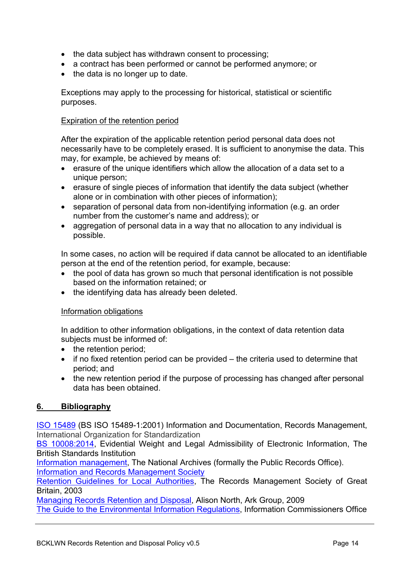- the data subject has withdrawn consent to processing;
- a contract has been performed or cannot be performed anymore; or
- $\bullet$  the data is no longer up to date.

Exceptions may apply to the processing for historical, statistical or scientific purposes.

#### Expiration of the retention period

After the expiration of the applicable retention period personal data does not necessarily have to be completely erased. It is sufficient to anonymise the data. This may, for example, be achieved by means of:

- erasure of the unique identifiers which allow the allocation of a data set to a unique person;
- erasure of single pieces of information that identify the data subject (whether alone or in combination with other pieces of information);
- separation of personal data from non-identifying information (e.g. an order number from the customer's name and address); or
- aggregation of personal data in a way that no allocation to any individual is possible.

In some cases, no action will be required if data cannot be allocated to an identifiable person at the end of the retention period, for example, because:

- the pool of data has grown so much that personal identification is not possible based on the information retained; or
- the identifying data has already been deleted.

#### Information obligations

In addition to other information obligations, in the context of data retention data subjects must be informed of:

- the retention period:
- $\bullet$  if no fixed retention period can be provided the criteria used to determine that period; and
- the new retention period if the purpose of processing has changed after personal data has been obtained.

## <span id="page-13-0"></span>**6. Bibliography**

ISO [15489](https://www.iso.org/obp/ui/#iso:std:iso:15489:-1:ed-2:v1:en) (BS ISO 15489-1:2001) Information and Documentation, Records Management, International Organization for Standardization

BS [10008:2014,](https://www.bsigroup.com/en-GB/bs-10008-electronic-information-management/) Evidential Weight and Legal Admissibility of Electronic Information, The British Standards Institution

Information [management](http://www.nationalarchives.gov.uk/information-management/), The National Archives (formally the Public Records Office). Information and Records [Management](http://irms.org.uk/?) Society

Retention [Guidelines](https://www.whatdotheyknow.com/request/19342/response/54053/attach/3/Records%20Management%20Retention%20Guidlines%20for%20LG.pdf) for Local Authorities, The Records Management Society of Great Britain, 2003

[Managing](https://www.ark-group.com/sites/default/files/product-pdf-download/Managing%20Records%20Retention%20and%20Disposal_sample%20chapter.pdf) Records Retention and Disposal, Alison North, Ark Group, 2009 The Guide to the [Environmental](https://ico.org.uk/for-organisations/guide-to-the-environmental-information-regulations/) Information Regulations, Information Commissioners Office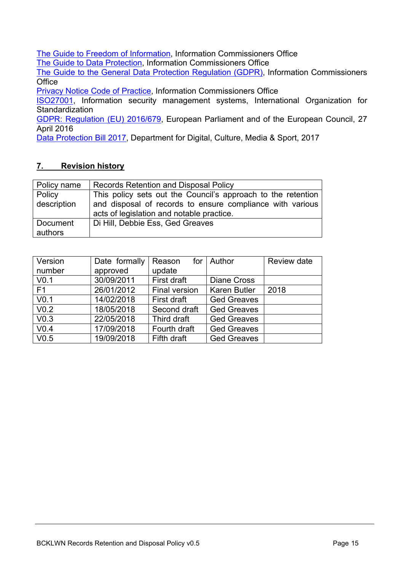The Guide to Freedom of [Information](https://ico.org.uk/for-organisations/guide-to-freedom-of-information/), Information Commissioners Office

The Guide to Data [Protection](https://ico.org.uk/for-organisations/guide-to-data-protection/), Information Commissioners Office

The Guide to the General Data Protection [Regulation](https://ico.org.uk/for-organisations/guide-to-the-general-data-protection-regulation-gdpr/) (GDPR), Information Commissioners **Office** 

Privacy Notice Code of [Practice,](https://ico.org.uk/for-organisations/guide-to-data-protection/privacy-notices-transparency-and-control/) Information Commissioners Office

[ISO27001](https://www.iso.org/isoiec-27001-information-security.html), Information security management systems, International Organization for **Standardization** 

GDPR: [Regulation](https://publications.europa.eu/en/publication-detail/-/publication/3e485e15-11bd-11e6-ba9a-01aa75ed71a1/language-en) (EU) 2016/679, European Parliament and of the European Council, 27 April 2016

Data [Protection](https://www.gov.uk/government/collections/data-protection-bill-2017) Bill 2017, Department for Digital, Culture, Media & Sport, 2017

## <span id="page-14-0"></span>**7. Revision history**

| Policy name | <b>Records Retention and Disposal Policy</b>                 |  |  |  |  |  |
|-------------|--------------------------------------------------------------|--|--|--|--|--|
| Policy      | This policy sets out the Council's approach to the retention |  |  |  |  |  |
| description | and disposal of records to ensure compliance with various    |  |  |  |  |  |
|             | acts of legislation and notable practice.                    |  |  |  |  |  |
| Document    | Di Hill, Debbie Ess, Ged Greaves                             |  |  |  |  |  |
| authors     |                                                              |  |  |  |  |  |

| Version<br>number | Date formally<br>approved | Reason<br>update     | for $\vert$ Author  | Review date |
|-------------------|---------------------------|----------------------|---------------------|-------------|
| V <sub>0.1</sub>  | 30/09/2011                | First draft          | <b>Diane Cross</b>  |             |
| F <sub>1</sub>    | 26/01/2012                | <b>Final version</b> | <b>Karen Butler</b> | 2018        |
| V <sub>0.1</sub>  | 14/02/2018                | First draft          | <b>Ged Greaves</b>  |             |
| V <sub>0.2</sub>  | 18/05/2018                | Second draft         | <b>Ged Greaves</b>  |             |
| V <sub>0.3</sub>  | 22/05/2018                | Third draft          | <b>Ged Greaves</b>  |             |
| V <sub>0.4</sub>  | 17/09/2018                | Fourth draft         | <b>Ged Greaves</b>  |             |
| V <sub>0.5</sub>  | 19/09/2018                | Fifth draft          | <b>Ged Greaves</b>  |             |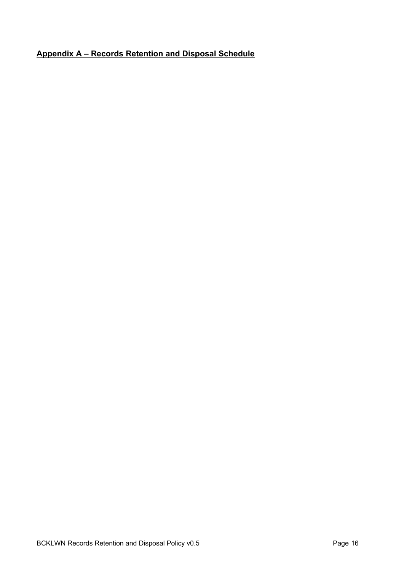# <span id="page-15-0"></span>**Appendix A – Records Retention and Disposal Schedule**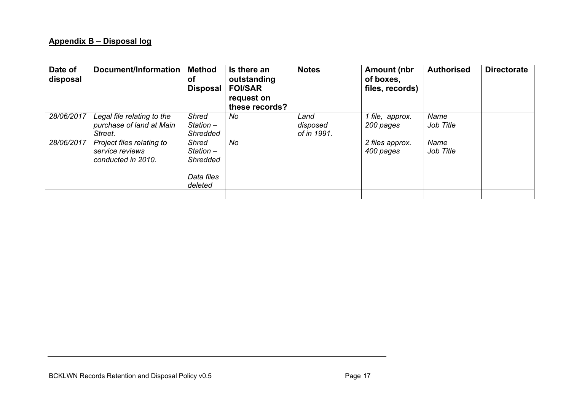# **Appendix B – Disposal log**

<span id="page-16-0"></span>

| Date of<br>disposal | Document/Information                                               | <b>Method</b><br><b>of</b><br><b>Disposal</b>                           | Is there an<br>outstanding<br><b>FOI/SAR</b><br>request on<br>these records? | <b>Notes</b>                    | <b>Amount (nbr</b><br>of boxes,<br>files, records) | <b>Authorised</b> | <b>Directorate</b> |
|---------------------|--------------------------------------------------------------------|-------------------------------------------------------------------------|------------------------------------------------------------------------------|---------------------------------|----------------------------------------------------|-------------------|--------------------|
| 28/06/2017          | Legal file relating to the<br>purchase of land at Main<br>Street.  | <b>Shred</b><br>Station $-$<br><b>Shredded</b>                          | No                                                                           | Land<br>disposed<br>of in 1991. | 1 file, approx.<br>200 pages                       | Name<br>Job Title |                    |
| 28/06/2017          | Project files relating to<br>service reviews<br>conducted in 2010. | <b>Shred</b><br>Station $-$<br><b>Shredded</b><br>Data files<br>deleted | No                                                                           |                                 | 2 files approx.<br>400 pages                       | Name<br>Job Title |                    |
|                     |                                                                    |                                                                         |                                                                              |                                 |                                                    |                   |                    |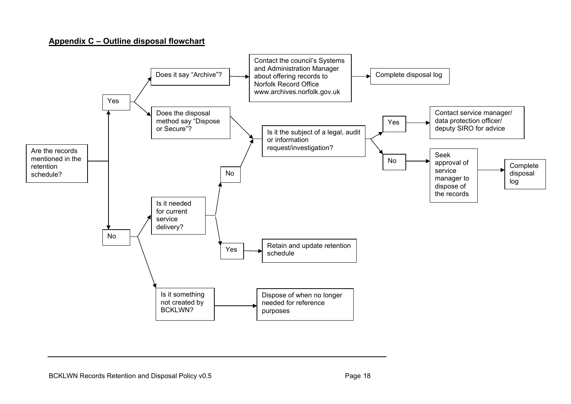#### **Appendix C – Outline disposal flowchart**

<span id="page-17-0"></span>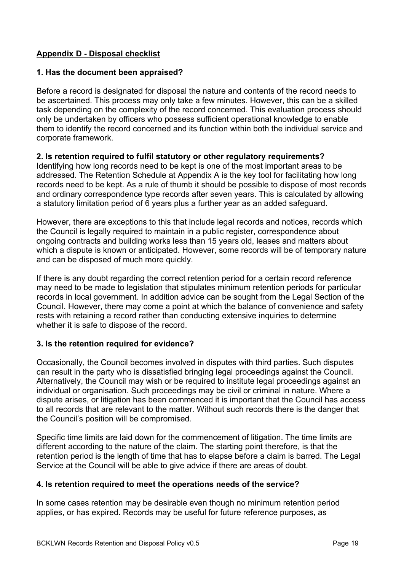## <span id="page-18-0"></span>**Appendix D - Disposal checklist**

## **1. Has the document been appraised?**

Before a record is designated for disposal the nature and contents of the record needs to be ascertained. This process may only take a few minutes. However, this can be a skilled task depending on the complexity of the record concerned. This evaluation process should only be undertaken by officers who possess sufficient operational knowledge to enable them to identify the record concerned and its function within both the individual service and corporate framework.

## **2. Is retention required to fulfil statutory or other regulatory requirements?**

Identifying how long records need to be kept is one of the most important areas to be addressed. The Retention Schedule at Appendix A is the key tool for facilitating how long records need to be kept. As a rule of thumb it should be possible to dispose of most records and ordinary correspondence type records after seven years. This is calculated by allowing a statutory limitation period of 6 years plus a further year as an added safeguard.

However, there are exceptions to this that include legal records and notices, records which the Council is legally required to maintain in a public register, correspondence about ongoing contracts and building works less than 15 years old, leases and matters about which a dispute is known or anticipated. However, some records will be of temporary nature and can be disposed of much more quickly.

If there is any doubt regarding the correct retention period for a certain record reference may need to be made to legislation that stipulates minimum retention periods for particular records in local government. In addition advice can be sought from the Legal Section of the Council. However, there may come a point at which the balance of convenience and safety rests with retaining a record rather than conducting extensive inquiries to determine whether it is safe to dispose of the record.

## **3. Is the retention required for evidence?**

Occasionally, the Council becomes involved in disputes with third parties. Such disputes can result in the party who is dissatisfied bringing legal proceedings against the Council. Alternatively, the Council may wish or be required to institute legal proceedings against an individual or organisation. Such proceedings may be civil or criminal in nature. Where a dispute arises, or litigation has been commenced it is important that the Council has access to all records that are relevant to the matter. Without such records there is the danger that the Council's position will be compromised.

Specific time limits are laid down for the commencement of litigation. The time limits are different according to the nature of the claim. The starting point therefore, is that the retention period is the length of time that has to elapse before a claim is barred. The Legal Service at the Council will be able to give advice if there are areas of doubt.

## **4. Is retention required to meet the operations needs of the service?**

In some cases retention may be desirable even though no minimum retention period applies, or has expired. Records may be useful for future reference purposes, as